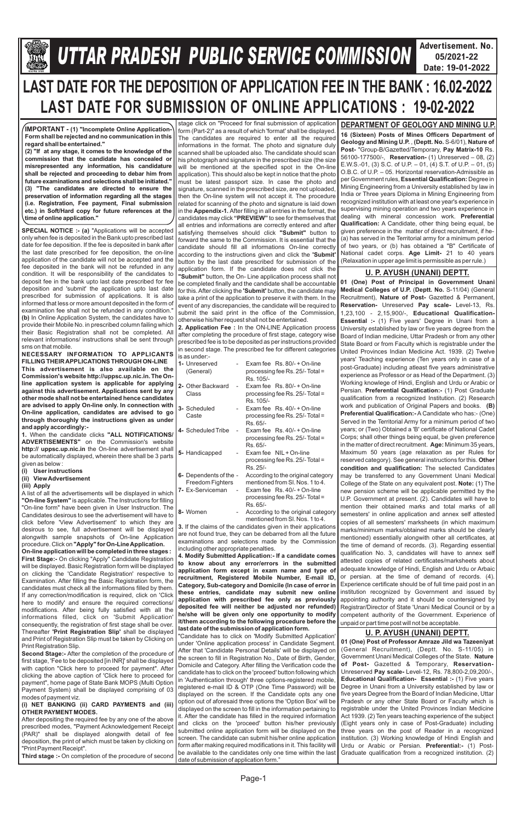

# **Gllej ØeosMe YetlelJe SJeb Keefvekeâce&** *U***efveosMeeueÙe DeOeervemLe ØeeefJeefOekeâ mesJee** *TTAR PRADESH PUBLIC SERVICE COMMISSION*

**Advertisement. No. 05/2021-22 Date: 19-01-2022**

### Page-1

# **LAST DATE FOR THE DEPOSITION OF APPLICATION FEE IN THE BANK : 16.02-2022 LAST DATE FOR SUBMISSION OF ONLINE APPLICATIONS : 19-02-2022**

**SPECIAL NOTICE :- (a)** "Applications will be accepted only when fee is deposited in the Bank upto prescribed last date for fee deposition. If the fee is deposited in bank after the last date prescribed for fee deposition, the on-line application of the candidate will not be accepted and the fee deposited in the bank will not be refunded in any condition. It will be responsibility of the candidates to deposit fee in the bank upto last date prescribed for fee deposition and 'submit' the application upto last date prescribed for submission of applications. It is also informed that less or more amount deposited in the form of examination fee shall not be refunded in any condition." **(b)** In Online Application System, the candidates have to provide their Mobile No. in prescribed column failing which their Basic Registration shall not be completed. All relevant informations/ instructions shall be sent through sms on that mobile.

**NECESSARY INFORMATION TO APPLICANTS FILLING THEIR APPLICATIONS THROUGH ON-LINE This advertisement is also available on the Commission's website http://uppsc.up.nic.in. The Online application system is applicable for applying against this advertisement. Applications sent by any other mode shall not be entertained hence candidates are advised to apply On-line only. In connection with On-line application, candidates are advised to go through thoroughly the instructions given as under and apply accordingly:-**

**1.** When the candidate clicks **"ALL NOTIFICATIONS/ ADVERTISEMENTS"** on the Commission's website **http:// uppsc.up.nic.in** the On-line advertisement shall be automatically displayed, wherein there shall be 3 parts given as below :

- **(i) User instructions**
- **(ii) View Advertisement**
- **(iii) Apply**

A list of all the advertisements will be displayed in which **"On-line System"** is applicable. The Instructions for filling "On-line form" have been given in User Instruction. The Candidates desirous to see the advertisement will have to click before 'View Advertisement' to which they are desirous to see, full advertisement will be displayed alongwith sample snapshots of On-line Application

procedure. Click on **"Apply" for On-Line Application. On-line application will be completed in three stages : First Stage:-** On clicking "Apply" Candidate Registration will be displayed. Basic Registration form will be displayed on clicking the 'Candidate Registration' respective to Examination. After filling the Basic Registration form, the candidates must check all the informations filled by them. If any correction/modification is required, click on 'Click here to modify' and ensure the required corrections/

stage click on "Proceed for final submission of application form (Part-2)" as a result of which 'format' shall be displayed. The candidates are required to enter all the required informations in the format. The photo and signature duly scanned shall be uploaded also. The candidate should scan his photograph and signature in the prescribed size (the size will be mentioned at the specified spot in the On-line application). This should also be kept in notice that the photo must be latest passport size. In case the photo and signature, scanned in the prescribed size, are not uploaded, then the On-line system will not accept it. The procedure related for scanning of the photo and signature is laid down in the **Appendix-1.** After filling in all entries in the format, the candidates may click **"PREVIEW"** to see for themselves that all entries and informations are correctly entered and after satisfying themselves should click **"Submit"** button to forward the same to the Commission. It is essential that the candidate should fill all informations On-line correctly according to the instructions given and click the **'Submit'**  button by the last date prescribed for submission of the application form. If the candidate does not click the **"Submit"** button, the On- Line application process shall not be completed finally and the candidate shall be accountable for this. After clicking the **'Submit'** button, the candidate may take a print of the application to preserve it with them. In the event of any discrepancies, the candidate will be required to submit the said print in the office of the Commission, otherwise his/her request shall not be entertained.

**2. Application Fee :** In the ON-LINE Application process after completing the procedure of first stage, category wise prescribed fee is to be deposited as per instructions provided in second stage. The prescribed fee for different categories is as under:-

| 1- Unreserved<br>(General)                 |    | Exam fee $\,$ Rs, 80/- + On-line<br>processing fee Rs. 25/- Total =              |
|--------------------------------------------|----|----------------------------------------------------------------------------------|
|                                            |    | Rs. 105/-                                                                        |
| 2- Other Backward<br>Class                 | ÷, | Exam fee $\,$ Rs. 80/- + On-line<br>processing fee Rs. 25/- Total =<br>Rs. 105/- |
| 3- Scheduled<br>Caste                      |    | Exam fee Rs, 40/- + On-line<br>processing fee Rs. 25/- Total =<br>Rs. 65/-       |
| 4- Scheduled Tribe                         | ÷, | Exam fee Rs, 40/- + On-line<br>processing fee Rs. 25/- Total =<br>Rs. 65/-       |
| 5- Handicapped                             |    | Exam fee NIL + On-line<br>processing fee Rs. 25/- Total =<br>Rs. 25/-            |
| 6- Dependents of the -<br>Freedom Fighters |    | According to the original category<br>mentioned from SI, Nos. 1 to 4.            |
| 7- Ex-Serviceman                           |    | Exam fee $\,$ Rs. 40/- + On-line<br>processing fee Rs. 25/- Total =<br>Rs. 65/-  |
| 8- Women                                   |    | According to the original category<br>mentioned from SI. Nos. 1 to 4.            |

**3.** If the claims of the candidates given in their applications are not found true, they can be debarred from all the future examinations and selections made by the Commission including other appropriate penalties.

**4. Modify Submitted Application:- If a candidate comes to know about any error/errors in the submitted application form except in exam name and type of recruitment, Registered Mobile Number, E-mail ID, Category, Sub-category and Domicile (In case of error in these entries, candidate may submit new online application with prescribed fee only as previously** 

| modifications. After being fully satisfied with all the                                                                                                                                                                                                                                                                                                                                                                                                                                                                                                                                                                                                                                                                                                                                                                                                                                                                                                                                                                            | deposited fee will neither be adjusted nor refunded)                                                                                                                                                                                                                                                                                                                                                                                                                                                                                                                                                                                                                                                                                                                                                                                                                                                                                                                                                                                                                                                                                                                    | Registrar/Director of State 'Unani Medical Council or by a                                                                                                                                                                                                                                                                                                                                                                                                                                                                                                                                                                                                                                                                                                                                                                                                                                                                                                                     |
|------------------------------------------------------------------------------------------------------------------------------------------------------------------------------------------------------------------------------------------------------------------------------------------------------------------------------------------------------------------------------------------------------------------------------------------------------------------------------------------------------------------------------------------------------------------------------------------------------------------------------------------------------------------------------------------------------------------------------------------------------------------------------------------------------------------------------------------------------------------------------------------------------------------------------------------------------------------------------------------------------------------------------------|-------------------------------------------------------------------------------------------------------------------------------------------------------------------------------------------------------------------------------------------------------------------------------------------------------------------------------------------------------------------------------------------------------------------------------------------------------------------------------------------------------------------------------------------------------------------------------------------------------------------------------------------------------------------------------------------------------------------------------------------------------------------------------------------------------------------------------------------------------------------------------------------------------------------------------------------------------------------------------------------------------------------------------------------------------------------------------------------------------------------------------------------------------------------------|--------------------------------------------------------------------------------------------------------------------------------------------------------------------------------------------------------------------------------------------------------------------------------------------------------------------------------------------------------------------------------------------------------------------------------------------------------------------------------------------------------------------------------------------------------------------------------------------------------------------------------------------------------------------------------------------------------------------------------------------------------------------------------------------------------------------------------------------------------------------------------------------------------------------------------------------------------------------------------|
| informations filled, click on 'Submit Application                                                                                                                                                                                                                                                                                                                                                                                                                                                                                                                                                                                                                                                                                                                                                                                                                                                                                                                                                                                  | he/she will be given only one opportunity to modify                                                                                                                                                                                                                                                                                                                                                                                                                                                                                                                                                                                                                                                                                                                                                                                                                                                                                                                                                                                                                                                                                                                     | competent authority of the Government. Experience of                                                                                                                                                                                                                                                                                                                                                                                                                                                                                                                                                                                                                                                                                                                                                                                                                                                                                                                           |
|                                                                                                                                                                                                                                                                                                                                                                                                                                                                                                                                                                                                                                                                                                                                                                                                                                                                                                                                                                                                                                    | it/them according to the following procedure before the                                                                                                                                                                                                                                                                                                                                                                                                                                                                                                                                                                                                                                                                                                                                                                                                                                                                                                                                                                                                                                                                                                                 | unpaid or part time post will not be acceptable.                                                                                                                                                                                                                                                                                                                                                                                                                                                                                                                                                                                                                                                                                                                                                                                                                                                                                                                               |
| consequently, the registration of first stage shall be over.<br>Thereafter 'Print Registration Slip' shall be displayed<br>and Print of Registration Slip must be taken by Clicking on<br>Print Registration Slip.<br><b>Second Stage:-</b> After the completion of the procedure of<br>first stage, 'Fee to be deposited [in INR]' shall be displayed<br>with caption "Click here to proceed for payment". After<br>clicking the above caption of 'Click here to proceed for<br>payment", home page of State Bank MOPS (Multi Option<br>Payment System) shall be displayed comprising of 03<br>modes of payment viz.<br>(i) NET BANKING (ii) CARD PAYMENTS and (iii)<br><b>OTHER PAYMENT MODES.</b><br>After depositing the required fee by any one of the above<br>prescribed modes, "Payment Acknowledgement Receipt<br>(PAR)" shall be displayed alongwith detail of fee<br>deposition, the print of which must be taken by clicking on<br>"Print Payment Receipt".<br>Third stage :- On completion of the procedure of second | last date of the submission of application form.<br>"Candidate has to click on 'Modify Submitted Application'<br>under 'Online application process' in Candidate Segment.<br>After that 'Candidate Personal Details' will be displayed on<br>the screen to fill in Registration No., Date of Birth, Gender,<br>Domicile and Category. After filling the Verification code the<br>candidate has to click on the 'proceed' button following which<br>in 'Authentication through' three options-registered mobile,<br>registered e-mail ID & OTP (One Time Password) will be<br>displayed on the screen. If the Candidate opts any one<br>option out of aforesaid three options the 'Option Box' will be<br>displayed on the screen to fill in the information pertaining to<br>it. After the candidate has filled in the required information<br>and clicks on the 'proceed' button his/her previously<br>submitted online application form will be displayed on the<br>screen. The candidate can submit his/her online application<br>form after making required modifications in it. This facility will<br>be available to the candidates only one time within the last | U. P. AYUSH (UNANI) DEPTT.<br>01 (One) Post of Professor Amraze Jild wa Tazeeniyat<br>(General Recruitment), (Deptt. No. S-11/05) in<br>Government Unani Medical Colleges of the State. Nature<br>of Post- Gazetted & Temporary, Reservation-<br>Unreserved Pay scale- Level-12, Rs. 78,800-2,09,200/-,<br><b>Educational Qualification- Essential :- (1) Five years</b><br>Degree in Unani from a University established by law or<br>five years Degree from the Board of Indian Medicine, Uttar<br>Pradesh or any other State Board or Faculty which is<br>registrable under the United Provinces Indian Medicine<br>Act 1939. (2) Ten years teaching experience of the subject<br>(Eight years only in case of Post-Graduate) including<br>three years on the post of Reader in a recognized<br>institution. (3) Working knowledge of Hindi English and<br>Urdu or Arabic or Persian. Preferential:- (1) Post-<br>Graduate qualification from a recognized institution. (2) |
|                                                                                                                                                                                                                                                                                                                                                                                                                                                                                                                                                                                                                                                                                                                                                                                                                                                                                                                                                                                                                                    | date of submission of application form."                                                                                                                                                                                                                                                                                                                                                                                                                                                                                                                                                                                                                                                                                                                                                                                                                                                                                                                                                                                                                                                                                                                                |                                                                                                                                                                                                                                                                                                                                                                                                                                                                                                                                                                                                                                                                                                                                                                                                                                                                                                                                                                                |

**IMPORTANT - (1) "Incomplete Online Application-Form shall be rejected and no communication in this regard shall be entertained."**

**(2) "If at any stage, it comes to the knowledge of the commission that the candidate has concealed or misrepresented any information, his candidature shall be rejected and proceeding to debar him from future examinations and selections shall be initiated." (3) "The candidates are directed to ensure the preservation of information regarding all the stages (i.e. Registration, Fee payment, Final submission etc.) in Soft/Hard copy for future references at the time of online application."** 

**16 (Sixteen) Posts of Mines Officers Department of Geology and Mining U.P.** , **(Deptt. No.** S-6/01), **Nature of Post-** "Group-B/Gazetted/Temporary, **Pay Matrix-10** Rs. 56100-177500/-, **Reservation-** (1) Unreserved – 08, (2) E.W.S.-01, (3) S.C. of U.P. – 01, (4) S.T. of U.P. – 01, (5) O.B.C. of U.P. – 05. Horizontal reservation-Admissible as per Government rules, **Essential Qualification:** Degree in Mining Engineering from a University established by law in India or Three years Diploma in Mining Engineering from recognized institution with at least one year's experience in supervising mining operation and two years experience in dealing with mineral concession work. **Preferential Qualification:** A Candidate, other thing being equal, be given preference in the matter of direct recruitment, if he- (a) has served in the Territorial army for a minimum period of two years, or (b) has obtained a "B" Certificate of National cadet corps. **Age Limit-** 21 to 40 years (Relaxation in upper age limit is permissible as per rule.)

#### **DEPARTMENT OF GEOLOGY AND MINING U.P.**

**01 (One) Post of Principal in Government Unani Medical Colleges of U.P. (Deptt. No. S-11/04) (General** Recruitment), **Nature of Post-** Gazetted & Permanent, **Reservation-** Unreserved **Pay scale-** Level-13, Rs. 1,23,100 - 2,15,900/-, **Educational Qualification-Essential :-**  (1) Five years' Degree in Unani from a University established by law or five years degree from the Board of Indian medicine, Uttar Pradesh or from any other State Board or from Faculty which is registrable under the United Provinces Indian Medicine Act. 1939. (2) Twelve years' Teaching experience (Ten years only in case of a post-Graduate) including atleast five years administrative experience as Professor or as Head of the Department. (3) Working knowlege of Hindi, English and Urdu or Arabic or Persian. **Preferential Qualification:-** (1) Post Graduate qualification from a recognized Institution. (2) Research work and publication of Original Papers and books. **(B) Preferential Qualification:-** A Candidate who has:- (One) Served in the Territorial Army for a minimum period of two years; or (Two) Obtained a 'B' certificate of National Cadet Corps; shall other things being equal, be given preference in the matter of direct recruitment. **Age:** Minimum 35 years, Maximum 50 years (age relaxation as per Rules for reserved category). See general instructions for this. **Other condition and qualification:** The selected Candidates may be transferred to any Government Unani Medical College of the State on any equivalent post. **Note:** (1) The new pension scheme will be applicable permitted by the U.P. Government at present. (2). Candidates will have to mention their obtained marks and total marks of all semesters' in online application and annex self attested copies of all semesters' marksheets (in which maximum marks/minimum marks/obtained marks should be clearly mentioned) essentially alongwith other all certificates, at the time of demand of records. (3). Regarding essential qualification No. 3, candidates will have to annex self attested copies of related certificates/marksheets about adequate knowledge of Hindi, English and Urdu or Arbaic or persian. at the time of demand of records. (4). Experience certificate should be of full time paid post in an institution recognized by Government and issued by appointing authority and it should be countersigned by

#### **U. P. AYUSH (UNANI) DEPTT.**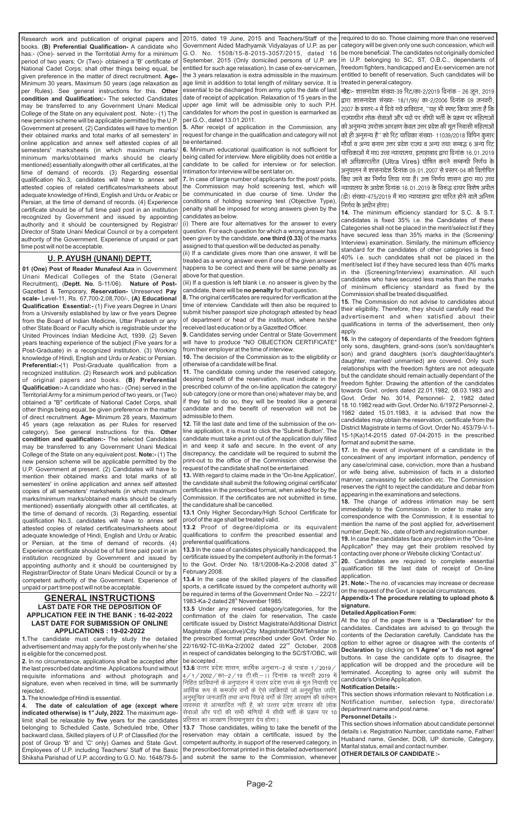## **GENERAL INSTRUCTIONS**

Research work and publication of original papers and books. **(B) Preferential Qualification-** A candidate who has:- (One)- served in the Territotial Army for a minimum period of two years; Or (Two)- obtained a 'B' certificate of National Cadet Corps; shall other things being equal, be given preference in the matter of direct recruitment. **Age-**Minimum 30 years, Maximum 50 years (age relaxation as per Rules). See general instructions for this. **Other condition and Qualification:-** The selected Candidates may be transferred to any Government Unani Medical College of the State on any equivalent post. Note:- (1) The new pension scheme will be applicable permitted by the U.P. Government at present. (2) Candidates will have to mention their obtained marks and total marks of all semesters' in online application and annex self attested copies of all semesters' marksheets (in which maximum marks/ minimum marks/obtained marks should be clearly mentioned) essentially alongwith other all certificates, at the time of demand of records. (3) Regarding essential qualification No.3, candidates will have to annex self attested copies of related certificates/marksheets about adequate knowledge of Hindi, English and Urdu or Arabic or Persian, at the time of demand of records. (4) Experience certificate should be of full time paid post in an institution recognized by Government and issued by appointing authority and it should be countersigned by Registrar/ Director of State Unani Medical Council or by a competent authority of the Government. Experience of unpaid or part time post will not be acceptable.

**01 (One) Post of Reader Munafeul Aza** in Government Unani Medical Colleges of the State (General Recruitment), (Deptt. No. S-11/06). Nature of Post-Gazetted & Temporary, **Reservation-** Unreserved **Pay scale-** Level-11, Rs. 67,700-2,08,700/-, **(A) Educational Qualification Essential:-** (1) Five years Degree in Unani from a University established by law or five years Degree from the Board of Indian Medicine, Uttar Pradesh or any other State Board or Faculty which is registrable under the United Provinces Indian Medicine Act, 1939. (2) Seven years teaching experience of the subject (Five years for a Post-Graduate) in a recognized institution. (3) Working knowledge of Hindi, English and Urdu or Arabic or Persian. **Preferential:-**(1) Post-Graduate qualification from a recognized institution. (2) Research work and publication of original papers and books. **(B) Preferential Qualification:-** A candidate who has:- (One) served in the Territorial Army for a minimum period of two years, or (Two) obtained a "B" certificate of National Cadet Corps, shall other things being equal, be given preference in the matter of direct recruitment. **Age-** Minimum 28 years, Maximum 45 years (age relaxation as per Rules for reserved category). See general instructions for this. **Other condition and qualification:-** The selected Candidates may be transferred to any Government Unani Medical College of the State on any equivalent post. **Note:-** (1) The new pension scheme will be applicable permitted by the U.P. Government at present. (2) Candidates will have to mention their obtained marks and total marks of all semesters' in online application and annex self attested copies of all semesters' marksheets (in which maximum marks/minimum marks/obtained marks should be clearly mentioned) essentially alongwith other all certificates, at the time of demand of records. (3) Regarding, essential qualification No.3, candidates will have to annex self attested copies of related certificates/marksheets about adequate knowledge of Hindi, English and Urdu or Arabic or Persian, at the time of demand of records. (4) Experience certificate should be of full time paid post in an institution recognized by Government and issued by appointing authority and it should be countersigned by Registrar/Director of State Unani Medical Council or by a competent authority of the Government. Experience of unpaid or part time post will not be acceptable.

**13.4** In the case of the skilled players of the classified sports, a certificate issued by the competent authority will be required in terms of the Government Order No. – 22/21/ 1983-Ka-2 dated 28<sup>th</sup> November 1985.

#### **U. P. AYUSH (UNANI) DEPTT.**

2015, dated 19 June, 2015 and Teachers/Staff of the Government Aided Madhyamik Vidyalayas of U.P. as per G.O. No. 1508/15-8-2015-3057/2015, dated 16 September, 2015 (Only domiciled persons of U.P. are entitled for such age relaxation). In case of ex-servicemen, the 3 years relaxation is extra admissible in the maximum age limit in addition to total length of military service. It is essential to be discharged from army upto the date of last date of receipt of application. Relaxation of 15 years in the upper age limit will be admissible only to such P.H. candidates for whom the post in question is earmarked as per G.O., dated 13.01.2011.

**5.** After receipt of application in the Commission, any request for change in the qualification and category will not be entertained.

**6.** Minimum educational qualification is not sufficient for being called for interview. Mere eligibility does not entitle a candidate to be called for interview or for selection. Intimation for interview will be sent later on.

**7.** In case of large number of applicants for the post/ posts, the Commission may hold screening test, which will be communicated in due course of time. Under the conditions of holding screening test (Objective Type), penalty shall be imposed for wrong answers given by the candidates as below.

(i) There are four alternatives for the answer to every question. For each question for which a wrong answer has been given by the candidate, **one third (0.33)** of the marks assigned to that question will be deducted as penalty.

(ii) If a candidate gives more than one answer, it will be treated as a wrong answer even if one of the given answer happens to be correct and there will be same penalty as above for that question.

(iii) If a question is left blank i.e. no answer is given by the candidate, there will be **no penalty** for that question.

**8.**The original certificates are required for verification at the time of interview. Candidate will then also be required to submit his/her passport size photograph attested by head of department or head of the institution, where he/she received last education or by a Gazetted Officer.

| <b>LAST DATE FOR THE DEPOSITION OF</b>                               | 13.5 Under any reserved category/categories, for the                        | signature.                                                          |
|----------------------------------------------------------------------|-----------------------------------------------------------------------------|---------------------------------------------------------------------|
| <b>APPLICATION FEE IN THE BANK: 16-02-2022</b>                       | confirmation of the claim for reservation. The caste                        | <b>Detailed Application Form:</b>                                   |
| <b>LAST DATE FOR SUBMISSION OF ONLINE</b>                            | certificate issued by District Magistrate/Additional District               | At the top of the page there is a <b>'Declaration'</b> for the      |
| <b>APPLICATIONS: 19-02-2022</b>                                      | Magistrate (Executive)/City Magistrate/SDM/Tehsildar in                     | candidates. Candidates are advised to go through the                |
| 1. The candidate must carefully study the detailed                   | the prescribed format prescribed under Govt. Order No.                      | contents of the Declaration carefully. Candidate has the            |
| advertisement and may apply for the post only when he/she            | 22/16/92-TC-III/Ka-2/2002 dated 22 <sup>nd</sup> October, 2008              | option to either agree or disagree with the contents of             |
| is eligible for the concerned post.                                  | in respect of candidates belonging to the SC/ST/OBC, will                   | Declaration by clicking on 'I Agree' or 'I do not agree'            |
| 2. In no circumstance, applications shall be accepted after          | be accepted.                                                                | buttons. In case the candidate opts to disagree, the                |
| the last prescribed date and time. Applications found without        | <b>13.6</b> उत्तर प्रदेश शासन, कार्मिक अनुभाग—2 के पत्रांक 1 / 2019 /       | application will be dropped and the procedure will be               |
| requisite informations and without photograph and                    | 4/1/2002/का—2/19 टी.सी.—    दिनांक 18 फरवरी 2019 में                        | terminated. Accepting to agree only will submit the                 |
| signature, even when received in time, will be summarily             | निहित प्राविधानों के अनुपालन में उत्तर प्रदेश राज्य के मूल निवासी एवं       | candidate's Online Application.                                     |
| rejected.                                                            | <sup>।</sup> आर्थिक रूप से कमजोर वर्गों के ऐसे व्यक्तियों जो अनुसूचित जाति, | <b>Notification Details:-</b>                                       |
| 3. The knowledge of Hindi is essential.                              | अनुसुचित जनजाति तथा अन्य पिछडे वर्गों के लिए आरक्षण की वर्तमान              | This section shows information relevant to Notification <i>i.e.</i> |
| 4. The date of calculation of age (except where                      | व्यवस्था से आच्छादित नहीं हैं, को उत्तर प्रदेश सरकार की लोक                 | Notification number, selection type, directorate/                   |
| indicated otherwise) is 1 <sup>st</sup> July, 2022. The maximum age- | सेवाओं और पदों की सभी श्रेणियों में सीधी भर्ती के प्रक्रम पर 10             | department name and post name.                                      |
| limit shall be relaxable by five years for the candidates            | प्रतिशत का आरक्षण नियमानुसार देय होगा।                                      | <b>Personnel Details:-</b>                                          |
| belonging to Scheduled Caste, Scheduled tribe, Other                 | 13.7 Those candidates, willing to take the benefit of the                   | This section shows information about candidate personnel            |
| backward class, Skilled players of U.P. of Classified (for the       | reservation may obtain a certificate, issued by the                         | details i.e. Registration Number, candidate name, Father/           |
| post of Group 'B' and 'C' only) Games and State Govt.                | competent authority, in support of the reserved category, in                | Husband name, Gender, DOB, UP domicile, Category,                   |
| Employees of U.P. including Teachers/ Staff of the Basic             | the prescribed format printed in this detailed advertisement                | Marital status, email and contact number.                           |
| Shiksha Parishad of U.P. according to G.O. No. 1648/79-5-            | and submit the same to the Commission, whenever                             | OTHER DETAILS OF CANDIDATE :-                                       |

**9.** Candidates serving under Central or State Government will have to produce "NO OBJECTION CERTIFICATE" from their employer at the time of interview.

**10.** The decision of the Commission as to the eligibility or otherwise of a candidate will be final.

**11.** The candidate coming under the reserved category, desiring benefit of the reservation, must indicate in the prescribed column of the on-line application the category/ sub category (one or more than one) whatever may be, and if they fail to do so, they will be treated like a general candidate and the benefit of reservation will not be admissible to them.

**12.** Till the last date and time of the submission of the online application, it is must to click the 'Submit Button'. The candidate must take a print out of the application duly filled in and keep it safe and secure. In the event of any discrepancy, the candidate will be required to submit the print-out to the office of the Commission otherwise the request of the candidate shall not be entertained.

**13.** With regard to claims made in the 'On-line Application', the candidate shall submit the following original certificate/ certificates in the prescribed format, when asked for by the Commission. If the certificates are not submitted in time, the candidature shall be cancelled.

**13.1** Only Higher Secondary/High School Certificate for proof of the age shall be treated valid.

**13.2** Proof of degree/diploma or its equivalent qualifications to confirm the prescribed essential and preferential qualifications.

**13.3** In the case of candidates physically handicapped, the certificate issued by the competent authority in the format-1 to the Govt. Order No.  $18/1/2008$ -Ka-2-2008 dated  $3<sup>rd</sup>$ February 2008.

required to do so. Those claiming more than one reserved category will be given only one such concession, which will be more beneficial. The candidates not originally domiciled in U.P. belonging to SC, ST, O.B.C., dependants of freedom fighters, handicapped and Ex-servicemen are not entitled to benefit of reservation. Such candidates will be treated in general category.

**नोटः-** शासनादेश संख्या-39 रिट/का-2/2019 दिनांक - 26 जून, 2019 द्वारा शासनादेश संख्या- 18/1/99/ का-2/2006 दिनांक 09 जनवरी, 2007 के प्रस्तर-4 में दिये गये प्राविधान, ''यह भी स्पष्ट किया जाता है कि राज्याधीन लोक सेवाओं और पदों पर सीधी भर्ती के प्रक्रम पर महिलाओं को अनुमन्य उपरोक्त आरक्षण केवल उत्तर प्रदेश की मूल निवासी महिलाओं को ही अनुमन्य है'' को रिट याचिका संख्या- 11039/2018 विपिन कुमार मौर्या व अन्य बनाम उत्तर प्रदेश राज्य व अन्य तथा सम्बद्ध 6 अन्य रिट याचिकाओं में मा0 उच्च न्यायालय, इलाहाबाद द्वारा दिनांक 16.01.2019 को अधिकारातीत (Ultra Vires) घोषित करने सम्बन्धी निर्णय के अनुपालन में शासनादेश दिनांक 09.01.2007 से प्रस्तर-04 को विलोपित किए जाने का निर्णय लिया गया है। उक्त निर्णय शासन द्वारा मा0 उच्च न्यायालय के आदेश दिनांक 16.01.2019 के विरूद्ध दायर विशेष अपील (डी) संख्या-475/2019 में मा0 न्यायालय द्वारा पारित होने वाले अन्तिम निर्णय के अधीन होगा।

**14.** The minimum efficiency standard for S.C. & S.T. candidates is fixed 35% i.e. the Candidates of these Categories shall not be placed in the merit/select list if they have secured less than 35% marks in the (Screening/ Interview) examination. Similarly, the minimum efficiency standard for the candidates of other categories is fixed 40% i.e. such candidates shall not be placed in the merit/select list if they have secured less than 40% marks in the (Screening/Interview) examination. All such candidates who have secured less marks than the marks of minimum efficiency standard as fixed by the Commission shall be treated disqualified.

**15.** The Commission do not advise to candidates about their eligibility. Therefore, they should carefully read the advertisement and when satisfied about their qualifications in terms of the advertisement, then only apply.

**16.** In the category of dependants of the freedom fighters only sons, daughters, grand-sons (son's son/daughter's son) and grand daughters (son's daughter/daughter's daughter, married/ unmarried) are covered. Only such relationships with the freedom fighters are not adequate but the candidate should remain actually dependant of the freedom fighter. Drawing the attention of the candidates towards Govt. orders dated 22.01.1982, 08.03.1983 and Govt. Order No. 3014, Personnel- 2, 1982 dated 18.10.1982 read with Govt. Order No. 6/1972 Personnel-2, 1982 dated 15.01.1983, it is advised that now the candidates may obtain the reservation, certificate from the District Magistrate in terms of Govt. Order No. 453/79-V-1- 15-1(Ka)14-2015 dated 07-04-2015 in the prescribed format and submit the same.

**17.** In the event of involvement of a candidate in the concealment of any important information, pendency of any case/criminal case, conviction, more than a husband or wife being alive, submission of facts in a distorted manner, canvassing for selection etc. The Commission reserves the right to reject the candidature and debar from appearing in the examinations and selections.

**18.** The change of address intimation may be sent immediately to the Commission. In order to make any correspondence with the Commission, it is essential to mention the name of the post applied for, advertisement number, Deptt. No., date of birth and registration number.

**19.** In case the candidates face any problem in the "On-line Application" they may get their problem resolved by contacting over phone or Website clicking 'Contact us'.

**20.** Candidates are required to complete essential qualification till the last date of receipt of On-line application.

**21. Note:-** The no. of vacancies may increase or decrease on the request of the Govt. in special circumstances.

**Appendix-1 The procedure relating to upload photo &**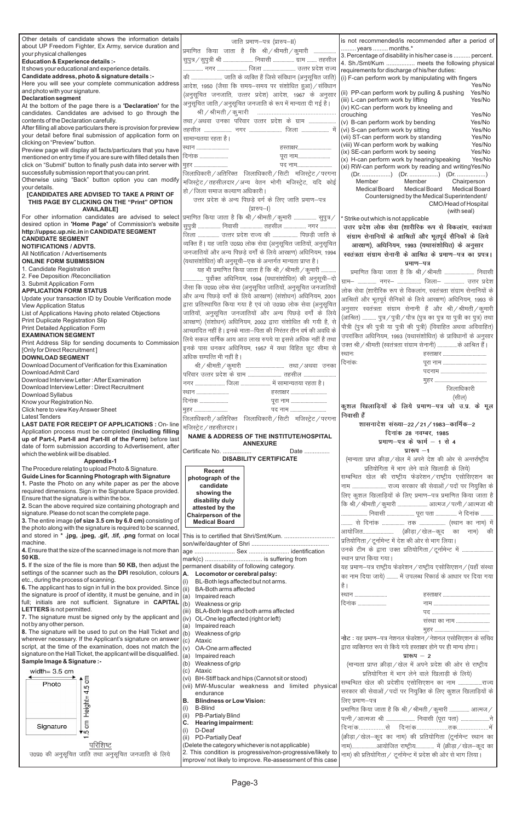| Other details of candidate shows the information details                                                                 | जाति प्रमाण–पत्र (प्रारुप–II)                                               | is not recommended/is recommended after a period of                                                    |
|--------------------------------------------------------------------------------------------------------------------------|-----------------------------------------------------------------------------|--------------------------------------------------------------------------------------------------------|
| about UP Freedom Fighter, Ex Army, service duration and                                                                  | प्रमाणित किया जाता है कि श्री/श्रीमती/कुमारी                                | years  months.*                                                                                        |
| your physical challenges                                                                                                 |                                                                             | 3. Percentage of disability in his/her case is  percent.                                               |
| <b>Education &amp; Experience details :-</b>                                                                             | सुपुत्र / सुपुत्री श्री  निवासी  ग्राम  तहसील                               | 4. Sh./Smt/Kum  meets the following physical                                                           |
| It shows your educational and experience details.                                                                        |                                                                             | requirements for discharge of his/her duties:                                                          |
| Candidate address, photo & signature details :-                                                                          | की  जाति के व्यक्ति हैं जिसे संविधान (अनुसूचित जाति)                        | (i) F-can perform work by manipulating with fingers                                                    |
| Here you will see your complete communication address<br>and photo with your signature.                                  | आदेश, 1950 (जैसा कि समय-समय पर संशोधित हुआ) / संविधान                       | Yes/No                                                                                                 |
| <b>Declaration segment</b>                                                                                               | (अनुसूचित जनजाति, उत्तर प्रदेश) आदेश, 1967 के अनुसार                        | (ii) PP-can perform work by pulling & pushing<br>Yes/No                                                |
| At the bottom of the page there is a 'Declaration' for the                                                               | अनुसूचित जाति / अनुसूचित जनजाति के रूप में मान्यता दी गई है।                | (iii) L-can perform work by lifting<br>Yes/No<br>(iv) KC-can perform work by kneeling and              |
| candidates. Candidates are advised to go through the                                                                     |                                                                             | crouching<br>Yes/No                                                                                    |
| contents of the Declaration carefully.                                                                                   | तथा / अथवा उनका परिवार उत्तर प्रदेश के ग्राम                                | (v) B-can perform work by bending<br>Yes/No                                                            |
| After filling all above particulars there is provision for preview                                                       |                                                                             | (vi) S-can perform work by sitting<br>Yes/No                                                           |
| your detail before final submission of application form on                                                               | सामान्यतया रहता है।                                                         | (vii) ST-can perform work by standing<br>Yes/No                                                        |
| clicking on "Preview" button.                                                                                            | हस्ताक्षर<br>स्थान                                                          | (viii) W-can perform work by walking<br>Yes/No                                                         |
| Preview page will display all facts/particulars that you have                                                            | दिनांक<br>पूरा नाम                                                          | Yes/No<br>(ix) SE-can perform work by seeing                                                           |
| mentioned on entry time if you are sure with filled details then                                                         |                                                                             | (x) H-can perform work by hearing/speaking<br>Yes/No                                                   |
| click on "Submit" button to finally push data into server with                                                           | पद नाम<br>मुहर                                                              | (xi) RW-can perform work by reading and writing Yes/No                                                 |
| successfully submission report that you can print.<br>Otherwise using "Back" button option you can modify                | जिलाधिकारी / अतिरिक्त जिलाधिकारी / सिटी मजिस्ट्रेट / परगना                  |                                                                                                        |
| vour details.                                                                                                            | मजिस्ट्रेट / तहसीलदार / अन्य वेतन भोगी मजिस्ट्रेट, यदि कोई                  | Member<br>Member<br>Chairperson                                                                        |
| [CANDIDATES ARE ADVISED TO TAKE A PRINT OF                                                                               | हो / जिला समाज कल्याण अधिकारी                                               | Medical Board<br>Medical Board<br><b>Medical Board</b><br>Countersigned by the Medical Superintendent/ |
| THIS PAGE BY CLICKING ON THE "Print" OPTION<br><b>AVAILABLE]</b>                                                         | उत्तर प्रदेश के अन्य पिछड़े वर्ग के लिए जाति प्रमाण-पत्र<br>(प्रारुप–1)     | CMO/Head of Hospital                                                                                   |
| For other information candidates are advised to select                                                                   | प्रमाणित किया जाता है कि श्री / श्रीमती / कुमारी  सुपुत्र /                 | (with seal)                                                                                            |
| desired option in 'Home Page' of Commission's website                                                                    |                                                                             | Strike out which is not applicable                                                                     |
| http://uppsc.up.nic.in in CANDIDATE SEGMENT                                                                              | सुपुत्री  निवासी  तहसील  नगर                                                | उत्तर प्रदेश लोक सेवा (शारीरिक रूप से विकलांग, स्वतंत्रता                                              |
| <b>CANDIDATE SEGMENT</b>                                                                                                 | जिला  उत्तर प्रदेश राज्य की  पिछड़ी जाति के                                 | संग्राम सेनानियों के आश्रितों और भूतपूर्व सैनिकों के लिये                                              |
| <b>NOTIFICATIONS / ADVTS.</b>                                                                                            | व्यक्ति हैं। यह जाति उ0प्र0 लोक सेवा (अनुसूचित जातियों, अनुसूचित            | आरक्षण), अधिनियम, 1993 (यथासंशोधित) के अनुसार                                                          |
| All Notification / Advertisements                                                                                        | जनजातियों और अन्य पिछड़े वर्गों के लिये आरक्षण) अधिनियम, 1994               | स्वतंत्रता संग्राम सेनानी के आश्रित के प्रमाण-पत्र का प्रपत्र।                                         |
| <b>ONLINE FORM SUBMISSION</b>                                                                                            | (यथासंशोधित) की अनुसूची–एक के अन्तर्गत मान्यता प्राप्त है।                  | प्रमाण-पत्र                                                                                            |
| 1. Candidate Registration                                                                                                | यह भी प्रमाणित किया जाता है कि श्री / श्रीमती / कुमारी                      | प्रमाणित किया जाता है कि श्री / श्रीमती  निवासी                                                        |
| 2. Fee Deposition / Reconciliation                                                                                       | पूर्वोक्त अधिनियम, 1994 (यथासंशोधित) की अनुसूची—दो                          | ग्राम–  नगर–  जिला–  उत्तर प्रदेश                                                                      |
| 3. Submit Application Form                                                                                               | जैसा कि उ0प्र0 लोक सेवा (अनुसूचित जातियों, अनुसूचित जनजातियों               |                                                                                                        |
| <b>APPLICATION FORM STATUS</b>                                                                                           | और अन्य पिछड़े वर्गों के लिये आरक्षण) (संशोधन) अधिनियम, 2001                | लोक सेवा (शारीरिक रूप से विकलांग, स्वतंत्रता संग्राम सेनानियों के                                      |
| Update your transaction ID by Double Verification mode                                                                   | द्वारा प्रतिस्थापित किया गया है एवं जो उ0प्र0 लोक सेवा (अनुसूचित            | आश्रितों और भूतपूर्व सैनिकों के लिये आरक्षण) अधिनियम, 1993 के                                          |
| <b>View Application Status</b><br>List of Applications Having photo related Objections                                   | जातियों, अनुसूचित जनजातियों और अन्य पिछड़े वर्गों के लिये                   | अनुसार स्वतंत्रता संग्राम सेनानी हैं और श्री/श्रीमती/कुमारी                                            |
| Print Duplicate Registration Slip                                                                                        | आरक्षण) (संशोधन) अधिनियम, 2002 द्वारा संशोधित की गयी है, से                 | (आश्रित)  पुत्र / पुत्री / पौत्र (पुत्र का पुत्र या पुत्री का पुत्र) तथा                               |
| Print Detailed Application Form                                                                                          |                                                                             | पौत्री (पुत्र की पुत्री या पुत्री की पुत्री) (विवाहित अथवा अविवाहित)                                   |
| <b>EXAMINATION SEGMENT</b>                                                                                               | आच्छादित नहीं है। इनके माता–पिता की निरंतर तीन वर्ष की अवधि के              | उपरांकित अधिनियम, 1993 (यथासंशोधित) के प्राविधानों के अनुसार                                           |
| Print Address Slip for sending documents to Commission                                                                   | लिये सकल वार्षिक आय आठ लाख रुपये या इससे अधिक नहीं है तथा                   | उक्त श्री / श्रीमती (स्वतंत्रता संग्राम सेनानी)  के आश्रित हैं।                                        |
| [Only for Direct Recruitment]                                                                                            | इनके पास धनकर अधिनियम, 1957 में यथा विहित छूट सीमा से                       | स्थानः<br>हस्ताक्षर                                                                                    |
| <b>DOWNLOAD SEGMENT</b>                                                                                                  | अधिक सम्पत्ति भी नहीं है।                                                   | दिनांकः                                                                                                |
| Download Document of Verification for this Examination                                                                   |                                                                             |                                                                                                        |
| Download Admit Card                                                                                                      |                                                                             |                                                                                                        |
| Download Interview Letter: After Examination<br>Download Interview Letter: Direct Recruitment                            | नगर  जिला  में सामान्यतया रहता है।                                          |                                                                                                        |
| Download Syllabus                                                                                                        | ख्यान<br>हस्ताक्षर                                                          | जिलाधिकारी                                                                                             |
| Know your Registration No.                                                                                               | दिनांक<br>पूरा नाम                                                          | (सील)                                                                                                  |
| Click here to view Key Answer Sheet                                                                                      |                                                                             | कुशल खिलाड़ियों के लिये प्रमाण-पत्र जो उ.प्र. के मूल                                                   |
|                                                                                                                          |                                                                             |                                                                                                        |
| <b>Latest Tenders</b>                                                                                                    | पद नाम<br>मुहर                                                              | निवासी हैं                                                                                             |
| <b>LAST DATE FOR RECEIPT OF APPLICATIONS : On-line</b>                                                                   | जिलाधिकारी / अतिरिक्त जिलाधिकारी / सिटी मजिस्ट्रेट / परगना                  | शासनादेश संख्या–22 / 21 / 1983–कार्मिक–2                                                               |
| Application process must be completed (including filling                                                                 | मजिस्ट्रेट / तहसीलदार।                                                      | दिनांक 28 नवम्बर, 1985                                                                                 |
| up of Part-I, Part-II and Part-III of the Form) before last                                                              | NAME & ADDRESS OF THE INSTITUTE/HOSPITAL                                    | प्रमाण-पत्र के फार्म $-1$ से 4                                                                         |
| date of form submission according to Advertisement, after                                                                | <b>ANNEXURE</b><br>Certificate No.<br>Date                                  | प्रारूप $-1$                                                                                           |
| which the weblink will be disabled.                                                                                      | <b>DISABILITY CERTIFICATE</b>                                               |                                                                                                        |
| <b>Appendix-1</b>                                                                                                        |                                                                             | (मान्यता प्राप्त क्रीड़ा / खेल में अपने देश की ओर से अन्तर्राष्ट्रीय                                   |
| The Procedure relating to upload Photo & Signature.                                                                      | Recent                                                                      | प्रतियोगिता में भाग लेने वाले खिलाड़ी के लिये)                                                         |
| Guide Lines for Scanning Photograph with Signature<br>1. Paste the Photo on any white paper as per the above             | photograph of the                                                           | सम्बन्धित खेल की राष्ट्रीय फेडरेशन / राष्ट्रीय एसोसिएशन का                                             |
| required dimensions. Sign in the Signature Space provided.                                                               | candidate                                                                   | नाम  राज्य सरकार की सेवाओं / पदों पर नियुक्ति के                                                       |
| Ensure that the signature is within the box.                                                                             | showing the<br>disability duly                                              | लिए कुशल खिलाड़ियों के लिए प्रमाण–पत्र प्रमाणित किया जाता है                                           |
| 2. Scan the above required size containing photograph and                                                                | attested by the                                                             | कि श्री / श्रीमती / कुमारी  आत्मज / पत्नी / आत्मजा श्री                                                |
| signature. Please do not scan the complete page.                                                                         | Chairperson of the                                                          | निवासी  पूरा पता  ने दिनांक                                                                            |
| 3. The entire image (of size 3.5 cm by 6.0 cm) consisting of                                                             | <b>Medical Board</b>                                                        |                                                                                                        |
| the photo along with the signature is required to be scanned,                                                            |                                                                             |                                                                                                        |
|                                                                                                                          |                                                                             | प्रतियोगिता / टूर्नामेन्ट में देश की ओर से भाग लिया।                                                   |
| machine.                                                                                                                 |                                                                             | उनके टीम के द्वारा उक्त प्रतियोगिता / टूर्नामेन्ट में                                                  |
| 4. Ensure that the size of the scanned image is not more than<br>50 KB.                                                  |                                                                             | स्थान प्राप्त किया गया।                                                                                |
| 5. If the size of the file is more than 50 KB, then adjust the                                                           |                                                                             |                                                                                                        |
| settings of the scanner such as the DPI resolution, colours $A$ .                                                        | permanent disability of following category.<br>Locomotor or cerebral palsy: | यह प्रमाण-पत्र राष्ट्रीय फेडरेशन / राष्ट्रीय एसोसिएशन / (यहाँ संस्था                                   |
| etc., during the process of scanning.                                                                                    | BL-Both legs affected but not arms.                                         | का नाम दिया जाये)  में उपलब्ध रिकार्ड के आधार पर दिया गया                                              |
| 6. The applicant has to sign in full in the box provided. Since                                                          | (iii)<br><b>BA-Both arms affected</b>                                       | है ।                                                                                                   |
| the signature is proof of identity, it must be genuine, and in                                                           | (a)<br>Impaired reach                                                       | स्थान                                                                                                  |
| full; initials are not sufficient. Signature in $\text{CAPITAL}(\stackrel{\cdot}{\mathfrak{b}})$                         | Weakness or grip                                                            | दिनांक                                                                                                 |
| LETTERS is not permitted.                                                                                                | BLA-Both legs and both arms affected<br>(iii)                               |                                                                                                        |
| 7. The signature must be signed only by the applicant and $(iy)$                                                         | OL-One leg affected (right or left)                                         | संस्था का नाम                                                                                          |
| not by any other person.                                                                                                 | Impaired reach<br>(a)                                                       |                                                                                                        |
| 8. The signature will be used to put on the Hall Ticket and $(i)$                                                        | Weakness of grip                                                            | नोट: यह प्रमाण-पत्र नेशनल फेडरेशन / नेशनल एसोसिएशन के सचिव                                             |
| wherever necessary. If the Applicant's signature on answer<br>script, at the time of the examination, does not match the | (c)<br>Ataxic<br>(v)<br>OA-One arm affected                                 | द्वारा व्यक्तिगत रूप से किये गये हस्ताक्षर होने पर ही मान्य होगा।                                      |
| signature on the Hall Ticket, the applicant will be disqualified.                                                        | (a)<br>Impaired reach                                                       | प्रारूप $-2$                                                                                           |
| Sample Image & Signature :-                                                                                              | Weakness of grip<br>(b)                                                     | (मान्यता प्राप्त क्रीड़ा / खेल में अपने प्रदेश की ओर से राष्ट्रीय                                      |
| width= $3.5 \text{ cm}$                                                                                                  | Ataxic<br>(C)                                                               |                                                                                                        |
|                                                                                                                          | BH-Stiff back and hips (Cannot sit or stood)<br>(VI)                        | प्रतियोगिता में भाग लेने वाले खिलाड़ी के लिये)                                                         |
| ξ<br>Photo                                                                                                               | (vii) MW-Muscular weakness and limited physical                             | सम्बन्धित खेल की प्रदेशीय एसोसिएशन का नाम राज्य                                                        |
| 4.5                                                                                                                      | endurance                                                                   | सरकार की सेवाओं / पदों पर नियुक्ति के लिए कुशल खिलाड़ियों के                                           |
|                                                                                                                          | <b>Blindness or Low Vision:</b><br>В.                                       | लिए प्रमाण–पत्र                                                                                        |
|                                                                                                                          | <b>B-Blind</b><br>(i)                                                       | प्रमाणित किया जाता है कि श्री / श्रीमती / कुमारी  आत्मज /                                              |
| Height=                                                                                                                  | <b>PB-Partialy Blind</b><br>(ii)                                            | पत्नी / आत्मजा श्री  निवासी (पूरा पता) ने                                                              |
| $\epsilon$<br>Signature                                                                                                  | <b>Hearing impairment:</b>                                                  |                                                                                                        |
| ∢دα                                                                                                                      | D-Deaf<br>(i)<br>(ii)                                                       | (क्रीड़ा / खेल-कूद का नाम) की प्रतियोगिता (टूर्नामेन्ट स्थान का                                        |
| परिशिष्ट                                                                                                                 | PD-Partially Deaf<br>(Delete the category whichever is not applicable)      |                                                                                                        |
|                                                                                                                          | 2. This condition is progressive/non-progressive/likely to                  | नाम)आयोजित राष्ट्रीय में (क्रीड़ा / खेल-कूद का                                                         |
| उ0प्र0 की अनुसूचित जाति तथा अनुसूचित जनजाति के लिये                                                                      | improve/ not likely to improve. Re-assessment of this case                  | नाम) की प्रतियोगिता / टूर्नामेन्ट में प्रदेश की ओर से भाग लिया।                                        |